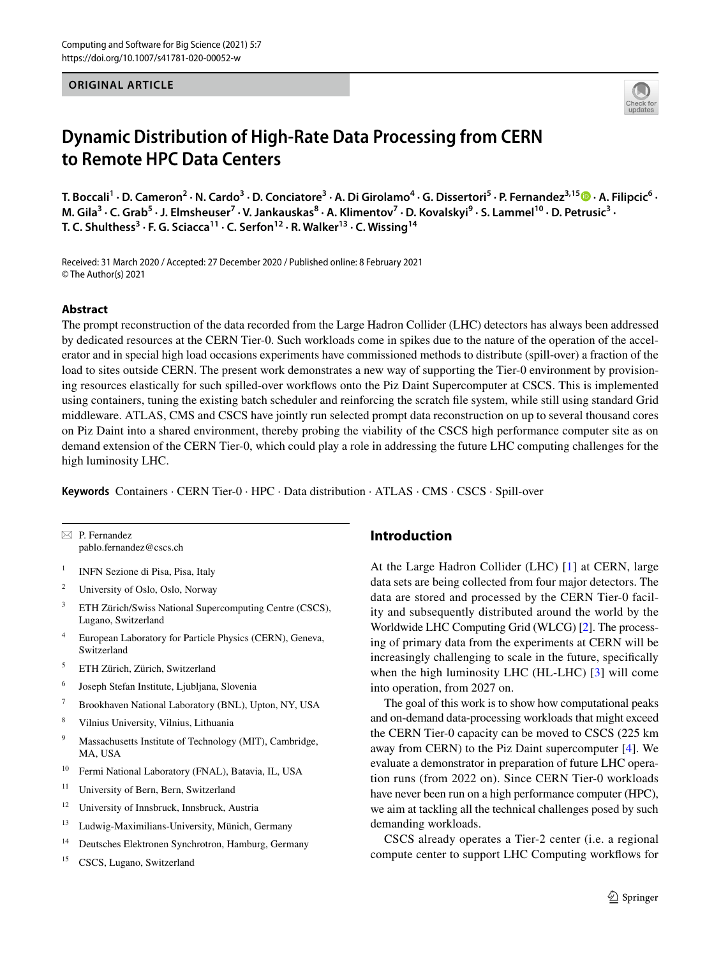# **ORIGINAL ARTICLE**



# **Dynamic Distribution of High‑Rate Data Processing from CERN to Remote HPC Data Centers**

T.Boccali<sup>1</sup> · D. Cameron<sup>2</sup> · N. Cardo<sup>3</sup> · D. Conciatore<sup>3</sup> · A. Di Girolamo<sup>4</sup> · G. Dissertori<sup>5</sup> · P. Fernandez<sup>3,15</sup> © · A. Filipcic<sup>6</sup> · M. Gila<sup>3</sup> · C. Grab<sup>5</sup> · J. Elmsheuser<sup>7</sup> · V. Jankauskas<sup>8</sup> · A. Klimentov<sup>7</sup> · D. Kovalskyi<sup>9</sup> · S. Lammel<sup>10</sup> · D. Petrusic<sup>3</sup> · **T. C. Shulthess3 · F. G. Sciacca11 · C. Serfon12 · R. Walker13 · C. Wissing14**

Received: 31 March 2020 / Accepted: 27 December 2020 / Published online: 8 February 2021 © The Author(s) 2021

## **Abstract**

The prompt reconstruction of the data recorded from the Large Hadron Collider (LHC) detectors has always been addressed by dedicated resources at the CERN Tier-0. Such workloads come in spikes due to the nature of the operation of the accelerator and in special high load occasions experiments have commissioned methods to distribute (spill-over) a fraction of the load to sites outside CERN. The present work demonstrates a new way of supporting the Tier-0 environment by provisioning resources elastically for such spilled-over workfows onto the Piz Daint Supercomputer at CSCS. This is implemented using containers, tuning the existing batch scheduler and reinforcing the scratch fle system, while still using standard Grid middleware. ATLAS, CMS and CSCS have jointly run selected prompt data reconstruction on up to several thousand cores on Piz Daint into a shared environment, thereby probing the viability of the CSCS high performance computer site as on demand extension of the CERN Tier-0, which could play a role in addressing the future LHC computing challenges for the high luminosity LHC.

**Keywords** Containers · CERN Tier-0 · HPC · Data distribution · ATLAS · CMS · CSCS · Spill-over

 $\boxtimes$  P. Fernandez pablo.fernandez@cscs.ch

- <sup>1</sup> INFN Sezione di Pisa, Pisa, Italy
- <sup>2</sup> University of Oslo, Oslo, Norway
- <sup>3</sup> ETH Zürich/Swiss National Supercomputing Centre (CSCS), Lugano, Switzerland
- <sup>4</sup> European Laboratory for Particle Physics (CERN), Geneva, Switzerland
- <sup>5</sup> ETH Zürich, Zürich, Switzerland
- <sup>6</sup> Joseph Stefan Institute, Ljubljana, Slovenia
- <sup>7</sup> Brookhaven National Laboratory (BNL), Upton, NY, USA
- <sup>8</sup> Vilnius University, Vilnius, Lithuania
- <sup>9</sup> Massachusetts Institute of Technology (MIT), Cambridge, MA, USA
- <sup>10</sup> Fermi National Laboratory (FNAL), Batavia, IL, USA
- <sup>11</sup> University of Bern, Bern, Switzerland
- <sup>12</sup> University of Innsbruck, Innsbruck, Austria
- <sup>13</sup> Ludwig-Maximilians-University, Münich, Germany
- <sup>14</sup> Deutsches Elektronen Synchrotron, Hamburg, Germany
- <sup>15</sup> CSCS, Lugano, Switzerland

# **Introduction**

At the Large Hadron Collider (LHC) [[1](#page-11-0)] at CERN, large data sets are being collected from four major detectors. The data are stored and processed by the CERN Tier-0 facility and subsequently distributed around the world by the Worldwide LHC Computing Grid (WLCG) [\[2](#page-11-1)]. The processing of primary data from the experiments at CERN will be increasingly challenging to scale in the future, specifcally when the high luminosity LHC (HL-LHC) [\[3](#page-11-2)] will come into operation, from 2027 on.

The goal of this work is to show how computational peaks and on-demand data-processing workloads that might exceed the CERN Tier-0 capacity can be moved to CSCS (225 km away from CERN) to the Piz Daint supercomputer [\[4](#page-11-3)]. We evaluate a demonstrator in preparation of future LHC operation runs (from 2022 on). Since CERN Tier-0 workloads have never been run on a high performance computer (HPC), we aim at tackling all the technical challenges posed by such demanding workloads.

CSCS already operates a Tier-2 center (i.e. a regional compute center to support LHC Computing workfows for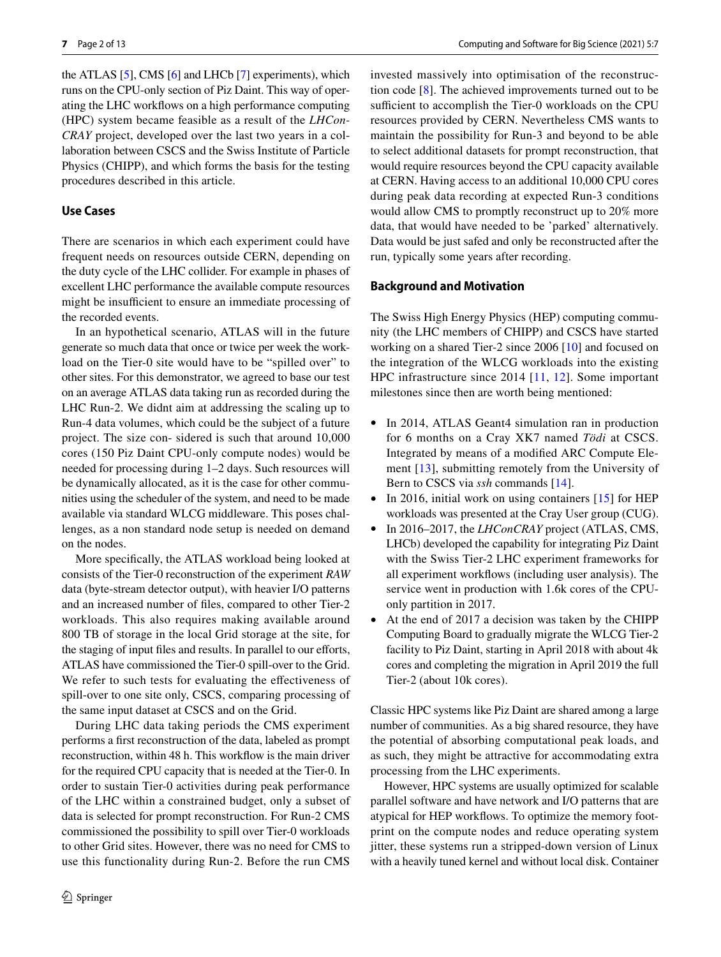the ATLAS [\[5](#page-11-4)], CMS [\[6](#page-11-5)] and LHCb [[7](#page-11-6)] experiments), which runs on the CPU-only section of Piz Daint. This way of operating the LHC workfows on a high performance computing (HPC) system became feasible as a result of the *LHCon-CRAY* project, developed over the last two years in a collaboration between CSCS and the Swiss Institute of Particle Physics (CHIPP), and which forms the basis for the testing procedures described in this article.

# **Use Cases**

There are scenarios in which each experiment could have frequent needs on resources outside CERN, depending on the duty cycle of the LHC collider. For example in phases of excellent LHC performance the available compute resources might be insufficient to ensure an immediate processing of the recorded events.

In an hypothetical scenario, ATLAS will in the future generate so much data that once or twice per week the workload on the Tier-0 site would have to be "spilled over" to other sites. For this demonstrator, we agreed to base our test on an average ATLAS data taking run as recorded during the LHC Run-2. We didnt aim at addressing the scaling up to Run-4 data volumes, which could be the subject of a future project. The size con- sidered is such that around 10,000 cores (150 Piz Daint CPU-only compute nodes) would be needed for processing during 1–2 days. Such resources will be dynamically allocated, as it is the case for other communities using the scheduler of the system, and need to be made available via standard WLCG middleware. This poses challenges, as a non standard node setup is needed on demand on the nodes.

More specifcally, the ATLAS workload being looked at consists of the Tier-0 reconstruction of the experiment *RAW* data (byte-stream detector output), with heavier I/O patterns and an increased number of fles, compared to other Tier-2 workloads. This also requires making available around 800 TB of storage in the local Grid storage at the site, for the staging of input files and results. In parallel to our efforts, ATLAS have commissioned the Tier-0 spill-over to the Grid. We refer to such tests for evaluating the effectiveness of spill-over to one site only, CSCS, comparing processing of the same input dataset at CSCS and on the Grid.

During LHC data taking periods the CMS experiment performs a frst reconstruction of the data, labeled as prompt reconstruction, within 48 h. This workfow is the main driver for the required CPU capacity that is needed at the Tier-0. In order to sustain Tier-0 activities during peak performance of the LHC within a constrained budget, only a subset of data is selected for prompt reconstruction. For Run-2 CMS commissioned the possibility to spill over Tier-0 workloads to other Grid sites. However, there was no need for CMS to use this functionality during Run-2. Before the run CMS

invested massively into optimisation of the reconstruction code [[8\]](#page-11-7). The achieved improvements turned out to be sufficient to accomplish the Tier-0 workloads on the CPU resources provided by CERN. Nevertheless CMS wants to maintain the possibility for Run-3 and beyond to be able to select additional datasets for prompt reconstruction, that would require resources beyond the CPU capacity available at CERN. Having access to an additional 10,000 CPU cores during peak data recording at expected Run-3 conditions would allow CMS to promptly reconstruct up to 20% more data, that would have needed to be 'parked' alternatively. Data would be just safed and only be reconstructed after the run, typically some years after recording.

#### **Background and Motivation**

The Swiss High Energy Physics (HEP) computing community (the LHC members of CHIPP) and CSCS have started working on a shared Tier-2 since 2006 [\[10\]](#page-11-8) and focused on the integration of the WLCG workloads into the existing HPC infrastructure since 2014 [[11](#page-11-9), [12\]](#page-11-10). Some important milestones since then are worth being mentioned:

- In 2014, ATLAS Geant4 simulation ran in production for 6 months on a Cray XK7 named *Tödi* at CSCS. Integrated by means of a modifed ARC Compute Element [\[13](#page-11-11)], submitting remotely from the University of Bern to CSCS via *ssh* commands [[14\]](#page-11-12).
- In 2016, initial work on using containers [[15](#page-11-13)] for HEP workloads was presented at the Cray User group (CUG).
- In 2016–2017, the *LHConCRAY* project (ATLAS, CMS, LHCb) developed the capability for integrating Piz Daint with the Swiss Tier-2 LHC experiment frameworks for all experiment workfows (including user analysis). The service went in production with 1.6k cores of the CPUonly partition in 2017.
- At the end of 2017 a decision was taken by the CHIPP Computing Board to gradually migrate the WLCG Tier-2 facility to Piz Daint, starting in April 2018 with about 4k cores and completing the migration in April 2019 the full Tier-2 (about 10k cores).

Classic HPC systems like Piz Daint are shared among a large number of communities. As a big shared resource, they have the potential of absorbing computational peak loads, and as such, they might be attractive for accommodating extra processing from the LHC experiments.

However, HPC systems are usually optimized for scalable parallel software and have network and I/O patterns that are atypical for HEP workfows. To optimize the memory footprint on the compute nodes and reduce operating system jitter, these systems run a stripped-down version of Linux with a heavily tuned kernel and without local disk. Container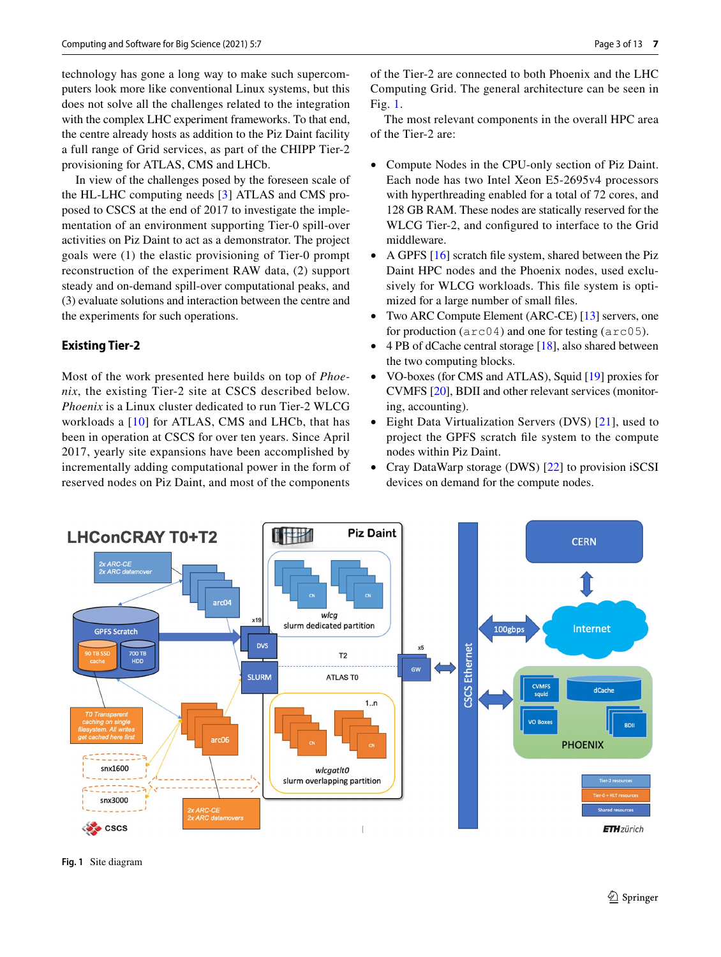technology has gone a long way to make such supercomputers look more like conventional Linux systems, but this does not solve all the challenges related to the integration with the complex LHC experiment frameworks. To that end, the centre already hosts as addition to the Piz Daint facility a full range of Grid services, as part of the CHIPP Tier-2 provisioning for ATLAS, CMS and LHCb.

In view of the challenges posed by the foreseen scale of the HL-LHC computing needs [[3\]](#page-11-2) ATLAS and CMS proposed to CSCS at the end of 2017 to investigate the implementation of an environment supporting Tier-0 spill-over activities on Piz Daint to act as a demonstrator. The project goals were (1) the elastic provisioning of Tier-0 prompt reconstruction of the experiment RAW data, (2) support steady and on-demand spill-over computational peaks, and (3) evaluate solutions and interaction between the centre and the experiments for such operations.

# **Existing Tier‑2**

Most of the work presented here builds on top of *Phoenix*, the existing Tier-2 site at CSCS described below. *Phoenix* is a Linux cluster dedicated to run Tier-2 WLCG workloads a [\[10\]](#page-11-8) for ATLAS, CMS and LHCb, that has been in operation at CSCS for over ten years. Since April 2017, yearly site expansions have been accomplished by incrementally adding computational power in the form of reserved nodes on Piz Daint, and most of the components of the Tier-2 are connected to both Phoenix and the LHC Computing Grid. The general architecture can be seen in Fig. [1](#page-2-0).

The most relevant components in the overall HPC area of the Tier-2 are:

- Compute Nodes in the CPU-only section of Piz Daint. Each node has two Intel Xeon E5-2695v4 processors with hyperthreading enabled for a total of 72 cores, and 128 GB RAM. These nodes are statically reserved for the WLCG Tier-2, and confgured to interface to the Grid middleware.
- A GPFS [[16\]](#page-11-14) scratch file system, shared between the Piz Daint HPC nodes and the Phoenix nodes, used exclusively for WLCG workloads. This fle system is optimized for a large number of small fles.
- Two ARC Compute Element (ARC-CE) [\[13](#page-11-11)] servers, one for production (arc04) and one for testing (arc05).
- 4 PB of dCache central storage [[18\]](#page-11-15), also shared between the two computing blocks.
- VO-boxes (for CMS and ATLAS), Squid [\[19](#page-11-16)] proxies for CVMFS [[20\]](#page-11-17), BDII and other relevant services (monitoring, accounting).
- Eight Data Virtualization Servers (DVS) [[21](#page-11-18)], used to project the GPFS scratch fle system to the compute nodes within Piz Daint.
- Cray DataWarp storage (DWS) [\[22](#page-11-19)] to provision iSCSI devices on demand for the compute nodes.



<span id="page-2-0"></span>**Fig. 1** Site diagram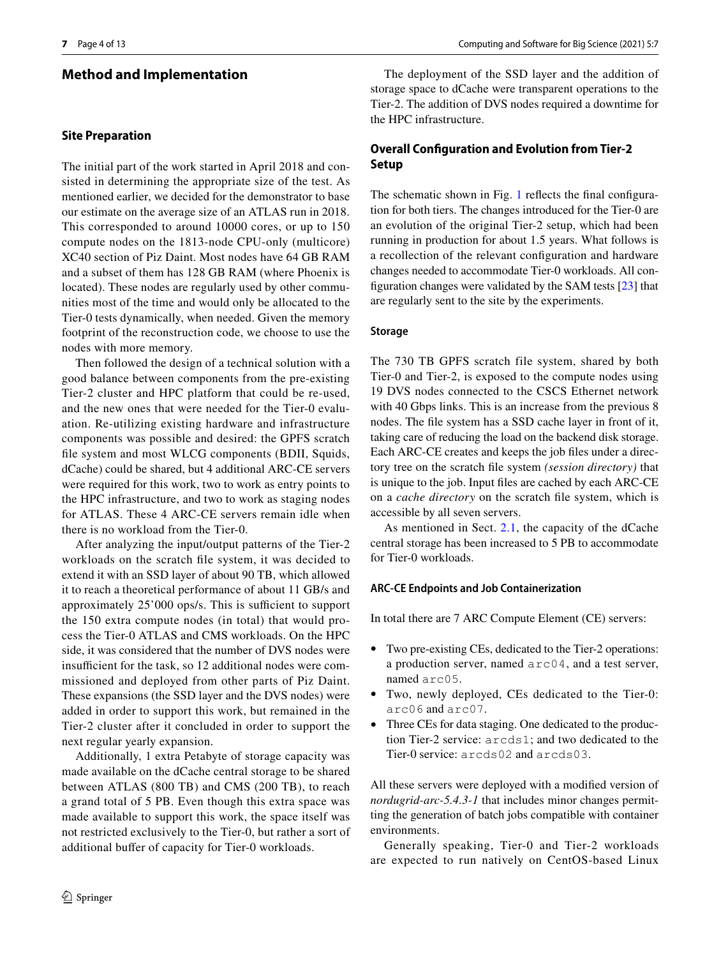# **Method and Implementation**

## <span id="page-3-0"></span>**Site Preparation**

The initial part of the work started in April 2018 and consisted in determining the appropriate size of the test. As mentioned earlier, we decided for the demonstrator to base our estimate on the average size of an ATLAS run in 2018. This corresponded to around 10000 cores, or up to 150 compute nodes on the 1813-node CPU-only (multicore) XC40 section of Piz Daint. Most nodes have 64 GB RAM and a subset of them has 128 GB RAM (where Phoenix is located). These nodes are regularly used by other communities most of the time and would only be allocated to the Tier-0 tests dynamically, when needed. Given the memory footprint of the reconstruction code, we choose to use the nodes with more memory.

Then followed the design of a technical solution with a good balance between components from the pre-existing Tier-2 cluster and HPC platform that could be re-used, and the new ones that were needed for the Tier-0 evaluation. Re-utilizing existing hardware and infrastructure components was possible and desired: the GPFS scratch fle system and most WLCG components (BDII, Squids, dCache) could be shared, but 4 additional ARC-CE servers were required for this work, two to work as entry points to the HPC infrastructure, and two to work as staging nodes for ATLAS. These 4 ARC-CE servers remain idle when there is no workload from the Tier-0.

After analyzing the input/output patterns of the Tier-2 workloads on the scratch fle system, it was decided to extend it with an SSD layer of about 90 TB, which allowed it to reach a theoretical performance of about 11 GB/s and approximately 25'000 ops/s. This is sufficient to support the 150 extra compute nodes (in total) that would process the Tier-0 ATLAS and CMS workloads. On the HPC side, it was considered that the number of DVS nodes were insufficient for the task, so 12 additional nodes were commissioned and deployed from other parts of Piz Daint. These expansions (the SSD layer and the DVS nodes) were added in order to support this work, but remained in the Tier-2 cluster after it concluded in order to support the next regular yearly expansion.

Additionally, 1 extra Petabyte of storage capacity was made available on the dCache central storage to be shared between ATLAS (800 TB) and CMS (200 TB), to reach a grand total of 5 PB. Even though this extra space was made available to support this work, the space itself was not restricted exclusively to the Tier-0, but rather a sort of additional bufer of capacity for Tier-0 workloads.

The deployment of the SSD layer and the addition of storage space to dCache were transparent operations to the Tier-2. The addition of DVS nodes required a downtime for the HPC infrastructure.

# **Overall Confguration and Evolution from Tier‑2 Setup**

The schematic shown in Fig. [1](#page-2-0) reflects the final configuration for both tiers. The changes introduced for the Tier-0 are an evolution of the original Tier-2 setup, which had been running in production for about 1.5 years. What follows is a recollection of the relevant confguration and hardware changes needed to accommodate Tier-0 workloads. All confguration changes were validated by the SAM tests [[23\]](#page-11-20) that are regularly sent to the site by the experiments.

#### **Storage**

The 730 TB GPFS scratch file system, shared by both Tier-0 and Tier-2, is exposed to the compute nodes using 19 DVS nodes connected to the CSCS Ethernet network with 40 Gbps links. This is an increase from the previous 8 nodes. The fle system has a SSD cache layer in front of it, taking care of reducing the load on the backend disk storage. Each ARC-CE creates and keeps the job fles under a directory tree on the scratch fle system *(session directory)* that is unique to the job. Input fles are cached by each ARC-CE on a *cache directory* on the scratch fle system, which is accessible by all seven servers.

As mentioned in Sect. [2.1,](#page-3-0) the capacity of the dCache central storage has been increased to 5 PB to accommodate for Tier-0 workloads.

#### **ARC‑CE Endpoints and Job Containerization**

In total there are 7 ARC Compute Element (CE) servers:

- Two pre-existing CEs, dedicated to the Tier-2 operations: a production server, named arc04, and a test server, named arc05.
- Two, newly deployed, CEs dedicated to the Tier-0: arc06 and arc07.
- Three CEs for data staging. One dedicated to the production Tier-2 service: arcds1; and two dedicated to the Tier-0 service: arcds02 and arcds03.

All these servers were deployed with a modifed version of *nordugrid-arc-5.4.3-1* that includes minor changes permitting the generation of batch jobs compatible with container environments.

Generally speaking, Tier-0 and Tier-2 workloads are expected to run natively on CentOS-based Linux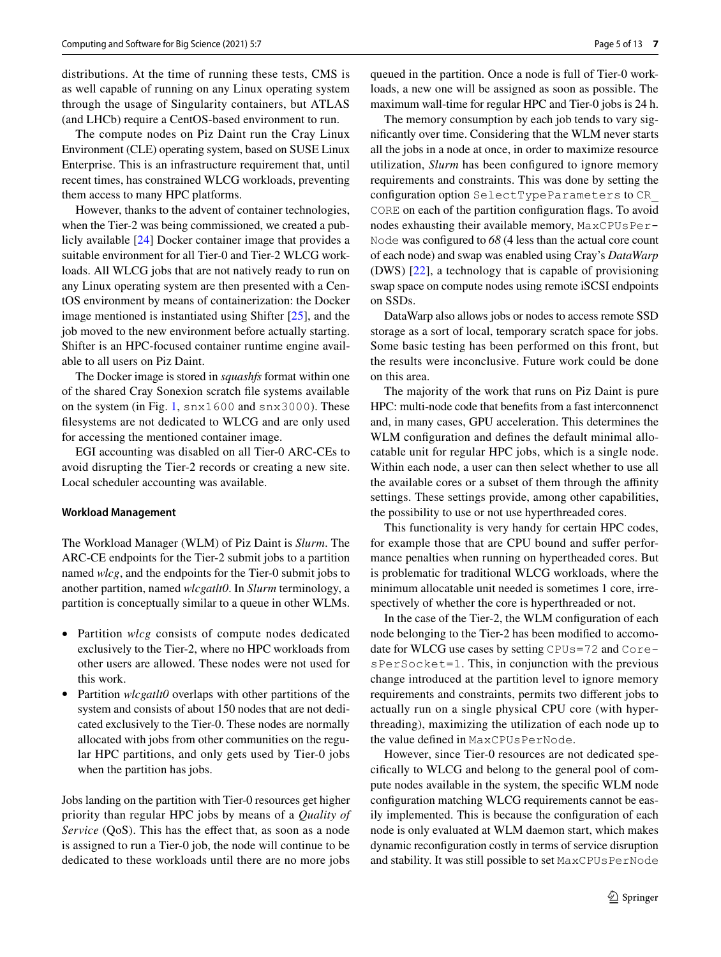distributions. At the time of running these tests, CMS is as well capable of running on any Linux operating system through the usage of Singularity containers, but ATLAS (and LHCb) require a CentOS-based environment to run.

The compute nodes on Piz Daint run the Cray Linux Environment (CLE) operating system, based on SUSE Linux Enterprise. This is an infrastructure requirement that, until recent times, has constrained WLCG workloads, preventing them access to many HPC platforms.

However, thanks to the advent of container technologies, when the Tier-2 was being commissioned, we created a publicly available [[24\]](#page-11-21) Docker container image that provides a suitable environment for all Tier-0 and Tier-2 WLCG workloads. All WLCG jobs that are not natively ready to run on any Linux operating system are then presented with a CentOS environment by means of containerization: the Docker image mentioned is instantiated using Shifter [[25\]](#page-11-22), and the job moved to the new environment before actually starting. Shifter is an HPC-focused container runtime engine available to all users on Piz Daint.

The Docker image is stored in *squashfs* format within one of the shared Cray Sonexion scratch fle systems available on the system (in Fig. [1](#page-2-0), snx1600 and snx3000). These flesystems are not dedicated to WLCG and are only used for accessing the mentioned container image.

EGI accounting was disabled on all Tier-0 ARC-CEs to avoid disrupting the Tier-2 records or creating a new site. Local scheduler accounting was available.

#### <span id="page-4-0"></span>**Workload Management**

The Workload Manager (WLM) of Piz Daint is *Slurm*. The ARC-CE endpoints for the Tier-2 submit jobs to a partition named *wlcg*, and the endpoints for the Tier-0 submit jobs to another partition, named *wlcgatlt0*. In *Slurm* terminology, a partition is conceptually similar to a queue in other WLMs.

- Partition *wlcg* consists of compute nodes dedicated exclusively to the Tier-2, where no HPC workloads from other users are allowed. These nodes were not used for this work.
- Partition *wlcgatlt0* overlaps with other partitions of the system and consists of about 150 nodes that are not dedicated exclusively to the Tier-0. These nodes are normally allocated with jobs from other communities on the regular HPC partitions, and only gets used by Tier-0 jobs when the partition has jobs.

Jobs landing on the partition with Tier-0 resources get higher priority than regular HPC jobs by means of a *Quality of Service* (QoS). This has the effect that, as soon as a node is assigned to run a Tier-0 job, the node will continue to be dedicated to these workloads until there are no more jobs

queued in the partition. Once a node is full of Tier-0 workloads, a new one will be assigned as soon as possible. The maximum wall-time for regular HPC and Tier-0 jobs is 24 h.

The memory consumption by each job tends to vary signifcantly over time. Considering that the WLM never starts all the jobs in a node at once, in order to maximize resource utilization, *Slurm* has been confgured to ignore memory requirements and constraints. This was done by setting the confguration option SelectTypeParameters to CR\_ CORE on each of the partition confguration fags. To avoid nodes exhausting their available memory, MaxCPUsPer-Node was confgured to *68* (4 less than the actual core count of each node) and swap was enabled using Cray's *DataWarp* (DWS) [[22\]](#page-11-19), a technology that is capable of provisioning swap space on compute nodes using remote iSCSI endpoints on SSDs.

DataWarp also allows jobs or nodes to access remote SSD storage as a sort of local, temporary scratch space for jobs. Some basic testing has been performed on this front, but the results were inconclusive. Future work could be done on this area.

The majority of the work that runs on Piz Daint is pure HPC: multi-node code that benefts from a fast interconnenct and, in many cases, GPU acceleration. This determines the WLM configuration and defines the default minimal allocatable unit for regular HPC jobs, which is a single node. Within each node, a user can then select whether to use all the available cores or a subset of them through the affinity settings. These settings provide, among other capabilities, the possibility to use or not use hyperthreaded cores.

This functionality is very handy for certain HPC codes, for example those that are CPU bound and sufer performance penalties when running on hypertheaded cores. But is problematic for traditional WLCG workloads, where the minimum allocatable unit needed is sometimes 1 core, irrespectively of whether the core is hyperthreaded or not.

In the case of the Tier-2, the WLM confguration of each node belonging to the Tier-2 has been modifed to accomodate for WLCG use cases by setting CPUs=72 and CoresPerSocket=1. This, in conjunction with the previous change introduced at the partition level to ignore memory requirements and constraints, permits two diferent jobs to actually run on a single physical CPU core (with hyperthreading), maximizing the utilization of each node up to the value defned in MaxCPUsPerNode.

However, since Tier-0 resources are not dedicated specifcally to WLCG and belong to the general pool of compute nodes available in the system, the specifc WLM node confguration matching WLCG requirements cannot be easily implemented. This is because the confguration of each node is only evaluated at WLM daemon start, which makes dynamic reconfguration costly in terms of service disruption and stability. It was still possible to set MaxCPUsPerNode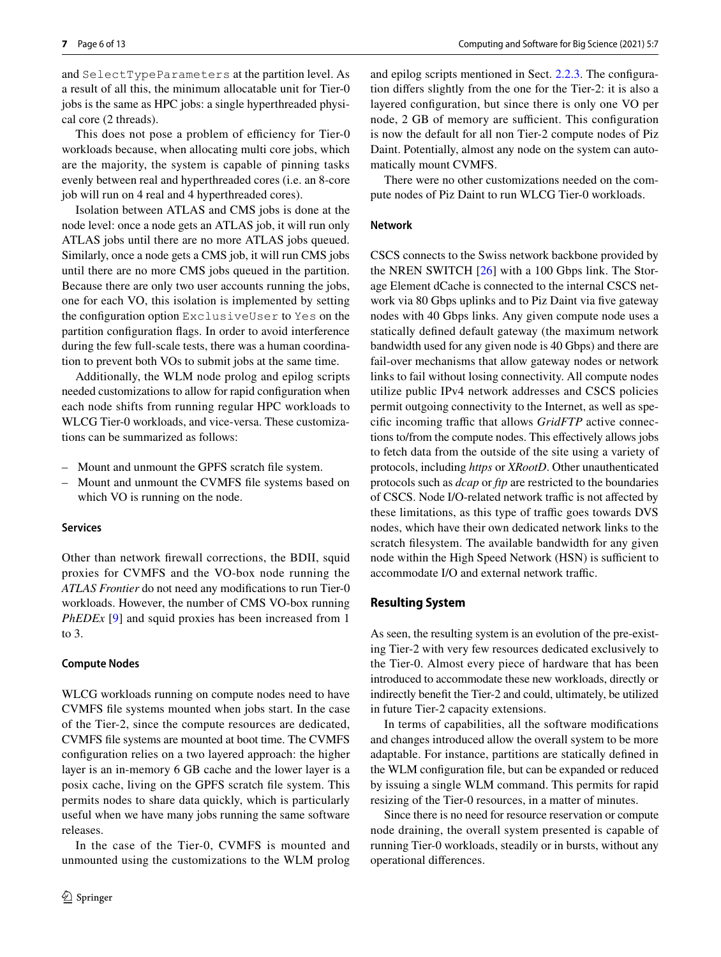and SelectTypeParameters at the partition level. As a result of all this, the minimum allocatable unit for Tier-0 jobs is the same as HPC jobs: a single hyperthreaded physical core (2 threads).

This does not pose a problem of efficiency for Tier-0 workloads because, when allocating multi core jobs, which are the majority, the system is capable of pinning tasks evenly between real and hyperthreaded cores (i.e. an 8-core job will run on 4 real and 4 hyperthreaded cores).

Isolation between ATLAS and CMS jobs is done at the node level: once a node gets an ATLAS job, it will run only ATLAS jobs until there are no more ATLAS jobs queued. Similarly, once a node gets a CMS job, it will run CMS jobs until there are no more CMS jobs queued in the partition. Because there are only two user accounts running the jobs, one for each VO, this isolation is implemented by setting the confguration option ExclusiveUser to Yes on the partition confguration fags. In order to avoid interference during the few full-scale tests, there was a human coordination to prevent both VOs to submit jobs at the same time.

Additionally, the WLM node prolog and epilog scripts needed customizations to allow for rapid confguration when each node shifts from running regular HPC workloads to WLCG Tier-0 workloads, and vice-versa. These customizations can be summarized as follows:

- Mount and unmount the GPFS scratch fle system.
- Mount and unmount the CVMFS fle systems based on which VO is running on the node.

#### **Services**

Other than network frewall corrections, the BDII, squid proxies for CVMFS and the VO-box node running the *ATLAS Frontier* do not need any modifcations to run Tier-0 workloads. However, the number of CMS VO-box running *PhEDEx* [\[9](#page-11-23)] and squid proxies has been increased from 1 to 3.

#### **Compute Nodes**

WLCG workloads running on compute nodes need to have CVMFS fle systems mounted when jobs start. In the case of the Tier-2, since the compute resources are dedicated, CVMFS fle systems are mounted at boot time. The CVMFS confguration relies on a two layered approach: the higher layer is an in-memory 6 GB cache and the lower layer is a posix cache, living on the GPFS scratch fle system. This permits nodes to share data quickly, which is particularly useful when we have many jobs running the same software releases.

In the case of the Tier-0, CVMFS is mounted and unmounted using the customizations to the WLM prolog and epilog scripts mentioned in Sect. [2.2.3](#page-4-0). The confguration difers slightly from the one for the Tier-2: it is also a layered confguration, but since there is only one VO per node, 2 GB of memory are sufficient. This configuration is now the default for all non Tier-2 compute nodes of Piz Daint. Potentially, almost any node on the system can automatically mount CVMFS.

There were no other customizations needed on the compute nodes of Piz Daint to run WLCG Tier-0 workloads.

#### **Network**

CSCS connects to the Swiss network backbone provided by the NREN SWITCH [[26](#page-11-24)] with a 100 Gbps link. The Storage Element dCache is connected to the internal CSCS network via 80 Gbps uplinks and to Piz Daint via five gateway nodes with 40 Gbps links. Any given compute node uses a statically defned default gateway (the maximum network bandwidth used for any given node is 40 Gbps) and there are fail-over mechanisms that allow gateway nodes or network links to fail without losing connectivity. All compute nodes utilize public IPv4 network addresses and CSCS policies permit outgoing connectivity to the Internet, as well as specific incoming traffic that allows *GridFTP* active connections to/from the compute nodes. This efectively allows jobs to fetch data from the outside of the site using a variety of protocols, including *https* or *XRootD*. Other unauthenticated protocols such as *dcap* or *ftp* are restricted to the boundaries of CSCS. Node I/O-related network traffic is not affected by these limitations, as this type of traffic goes towards DVS nodes, which have their own dedicated network links to the scratch flesystem. The available bandwidth for any given node within the High Speed Network (HSN) is sufficient to accommodate I/O and external network traffic.

### **Resulting System**

As seen, the resulting system is an evolution of the pre-existing Tier-2 with very few resources dedicated exclusively to the Tier-0. Almost every piece of hardware that has been introduced to accommodate these new workloads, directly or indirectly beneft the Tier-2 and could, ultimately, be utilized in future Tier-2 capacity extensions.

In terms of capabilities, all the software modifcations and changes introduced allow the overall system to be more adaptable. For instance, partitions are statically defned in the WLM confguration fle, but can be expanded or reduced by issuing a single WLM command. This permits for rapid resizing of the Tier-0 resources, in a matter of minutes.

Since there is no need for resource reservation or compute node draining, the overall system presented is capable of running Tier-0 workloads, steadily or in bursts, without any operational diferences.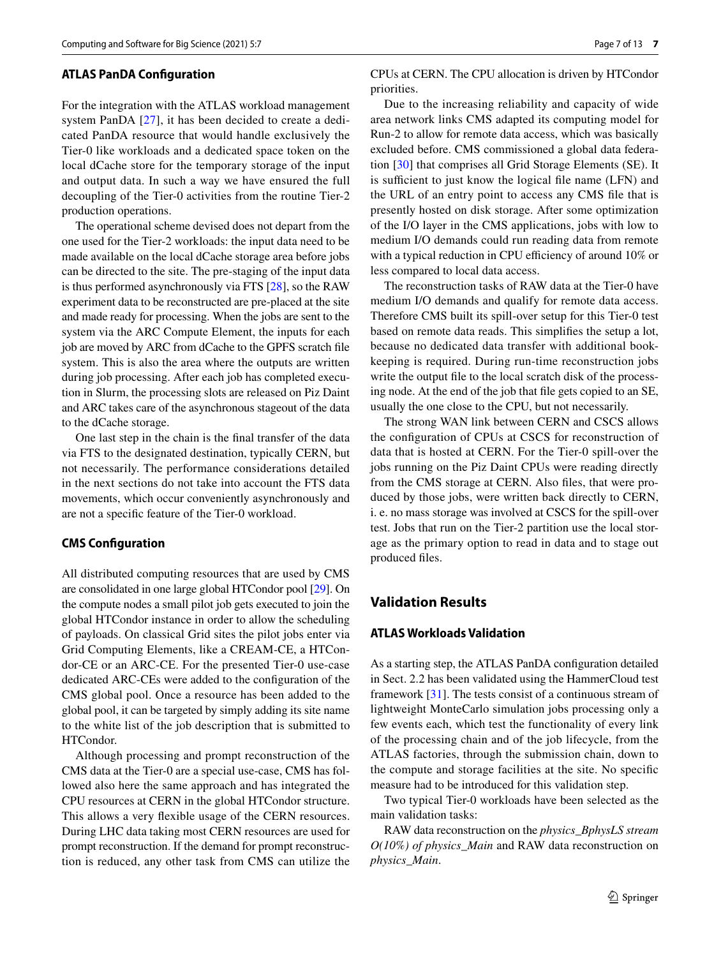#### **ATLAS PanDA Confguration**

For the integration with the ATLAS workload management system PanDA [[27](#page-12-0)], it has been decided to create a dedicated PanDA resource that would handle exclusively the Tier-0 like workloads and a dedicated space token on the local dCache store for the temporary storage of the input and output data. In such a way we have ensured the full decoupling of the Tier-0 activities from the routine Tier-2 production operations.

The operational scheme devised does not depart from the one used for the Tier-2 workloads: the input data need to be made available on the local dCache storage area before jobs can be directed to the site. The pre-staging of the input data is thus performed asynchronously via FTS [\[28](#page-12-1)], so the RAW experiment data to be reconstructed are pre-placed at the site and made ready for processing. When the jobs are sent to the system via the ARC Compute Element, the inputs for each job are moved by ARC from dCache to the GPFS scratch fle system. This is also the area where the outputs are written during job processing. After each job has completed execution in Slurm, the processing slots are released on Piz Daint and ARC takes care of the asynchronous stageout of the data to the dCache storage.

One last step in the chain is the fnal transfer of the data via FTS to the designated destination, typically CERN, but not necessarily. The performance considerations detailed in the next sections do not take into account the FTS data movements, which occur conveniently asynchronously and are not a specifc feature of the Tier-0 workload.

## **CMS Confguration**

All distributed computing resources that are used by CMS are consolidated in one large global HTCondor pool [\[29](#page-12-2)]. On the compute nodes a small pilot job gets executed to join the global HTCondor instance in order to allow the scheduling of payloads. On classical Grid sites the pilot jobs enter via Grid Computing Elements, like a CREAM-CE, a HTCondor-CE or an ARC-CE. For the presented Tier-0 use-case dedicated ARC-CEs were added to the confguration of the CMS global pool. Once a resource has been added to the global pool, it can be targeted by simply adding its site name to the white list of the job description that is submitted to HTCondor.

Although processing and prompt reconstruction of the CMS data at the Tier-0 are a special use-case, CMS has followed also here the same approach and has integrated the CPU resources at CERN in the global HTCondor structure. This allows a very fexible usage of the CERN resources. During LHC data taking most CERN resources are used for prompt reconstruction. If the demand for prompt reconstruction is reduced, any other task from CMS can utilize the CPUs at CERN. The CPU allocation is driven by HTCondor priorities.

Due to the increasing reliability and capacity of wide area network links CMS adapted its computing model for Run-2 to allow for remote data access, which was basically excluded before. CMS commissioned a global data federation [[30](#page-12-3)] that comprises all Grid Storage Elements (SE). It is sufficient to just know the logical file name (LFN) and the URL of an entry point to access any CMS fle that is presently hosted on disk storage. After some optimization of the I/O layer in the CMS applications, jobs with low to medium I/O demands could run reading data from remote with a typical reduction in CPU efficiency of around 10% or less compared to local data access.

The reconstruction tasks of RAW data at the Tier-0 have medium I/O demands and qualify for remote data access. Therefore CMS built its spill-over setup for this Tier-0 test based on remote data reads. This simplifes the setup a lot, because no dedicated data transfer with additional bookkeeping is required. During run-time reconstruction jobs write the output fle to the local scratch disk of the processing node. At the end of the job that fle gets copied to an SE, usually the one close to the CPU, but not necessarily.

The strong WAN link between CERN and CSCS allows the confguration of CPUs at CSCS for reconstruction of data that is hosted at CERN. For the Tier-0 spill-over the jobs running on the Piz Daint CPUs were reading directly from the CMS storage at CERN. Also files, that were produced by those jobs, were written back directly to CERN, i. e. no mass storage was involved at CSCS for the spill-over test. Jobs that run on the Tier-2 partition use the local storage as the primary option to read in data and to stage out produced fles.

# **Validation Results**

# **ATLAS Workloads Validation**

As a starting step, the ATLAS PanDA confguration detailed in Sect. 2.2 has been validated using the HammerCloud test framework [[31\]](#page-12-4). The tests consist of a continuous stream of lightweight MonteCarlo simulation jobs processing only a few events each, which test the functionality of every link of the processing chain and of the job lifecycle, from the ATLAS factories, through the submission chain, down to the compute and storage facilities at the site. No specifc measure had to be introduced for this validation step.

Two typical Tier-0 workloads have been selected as the main validation tasks:

RAW data reconstruction on the *physics\_BphysLS stream O(10%) of physics\_Main* and RAW data reconstruction on *physics\_Main*.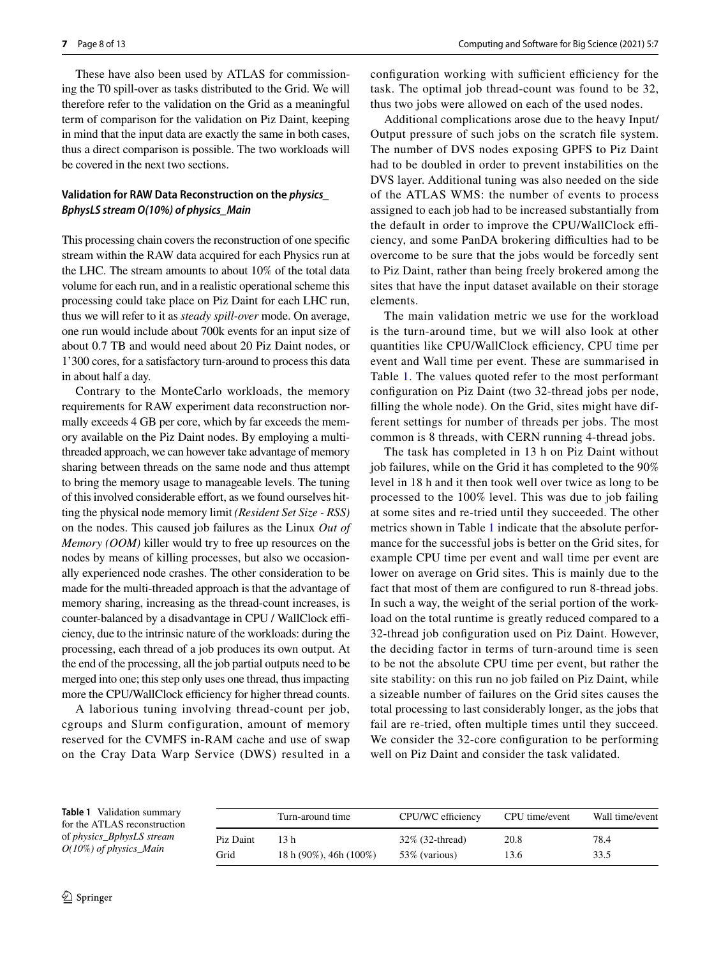These have also been used by ATLAS for commissioning the T0 spill-over as tasks distributed to the Grid. We will therefore refer to the validation on the Grid as a meaningful term of comparison for the validation on Piz Daint, keeping in mind that the input data are exactly the same in both cases, thus a direct comparison is possible. The two workloads will be covered in the next two sections.

# **Validation for RAW Data Reconstruction on the** *physics\_ BphysLS stream O(10%) of physics\_Main*

This processing chain covers the reconstruction of one specifc stream within the RAW data acquired for each Physics run at the LHC. The stream amounts to about 10% of the total data volume for each run, and in a realistic operational scheme this processing could take place on Piz Daint for each LHC run, thus we will refer to it as *steady spill-over* mode. On average, one run would include about 700k events for an input size of about 0.7 TB and would need about 20 Piz Daint nodes, or 1'300 cores, for a satisfactory turn-around to process this data in about half a day.

Contrary to the MonteCarlo workloads, the memory requirements for RAW experiment data reconstruction normally exceeds 4 GB per core, which by far exceeds the memory available on the Piz Daint nodes. By employing a multithreaded approach, we can however take advantage of memory sharing between threads on the same node and thus attempt to bring the memory usage to manageable levels. The tuning of this involved considerable effort, as we found ourselves hitting the physical node memory limit *(Resident Set Size - RSS)* on the nodes. This caused job failures as the Linux *Out of Memory (OOM)* killer would try to free up resources on the nodes by means of killing processes, but also we occasionally experienced node crashes. The other consideration to be made for the multi-threaded approach is that the advantage of memory sharing, increasing as the thread-count increases, is counter-balanced by a disadvantage in CPU / WallClock efficiency, due to the intrinsic nature of the workloads: during the processing, each thread of a job produces its own output. At the end of the processing, all the job partial outputs need to be merged into one; this step only uses one thread, thus impacting more the CPU/WallClock efficiency for higher thread counts.

A laborious tuning involving thread-count per job, cgroups and Slurm configuration, amount of memory reserved for the CVMFS in-RAM cache and use of swap on the Cray Data Warp Service (DWS) resulted in a configuration working with sufficient efficiency for the task. The optimal job thread-count was found to be 32, thus two jobs were allowed on each of the used nodes.

Additional complications arose due to the heavy Input/ Output pressure of such jobs on the scratch fle system. The number of DVS nodes exposing GPFS to Piz Daint had to be doubled in order to prevent instabilities on the DVS layer. Additional tuning was also needed on the side of the ATLAS WMS: the number of events to process assigned to each job had to be increased substantially from the default in order to improve the CPU/WallClock efficiency, and some PanDA brokering difficulties had to be overcome to be sure that the jobs would be forcedly sent to Piz Daint, rather than being freely brokered among the sites that have the input dataset available on their storage elements.

The main validation metric we use for the workload is the turn-around time, but we will also look at other quantities like CPU/WallClock efficiency, CPU time per event and Wall time per event. These are summarised in Table [1.](#page-7-0) The values quoted refer to the most performant confguration on Piz Daint (two 32-thread jobs per node, flling the whole node). On the Grid, sites might have different settings for number of threads per jobs. The most common is 8 threads, with CERN running 4-thread jobs.

The task has completed in 13 h on Piz Daint without job failures, while on the Grid it has completed to the 90% level in 18 h and it then took well over twice as long to be processed to the 100% level. This was due to job failing at some sites and re-tried until they succeeded. The other metrics shown in Table [1](#page-7-0) indicate that the absolute performance for the successful jobs is better on the Grid sites, for example CPU time per event and wall time per event are lower on average on Grid sites. This is mainly due to the fact that most of them are configured to run 8-thread jobs. In such a way, the weight of the serial portion of the workload on the total runtime is greatly reduced compared to a 32-thread job confguration used on Piz Daint. However, the deciding factor in terms of turn-around time is seen to be not the absolute CPU time per event, but rather the site stability: on this run no job failed on Piz Daint, while a sizeable number of failures on the Grid sites causes the total processing to last considerably longer, as the jobs that fail are re-tried, often multiple times until they succeed. We consider the 32-core configuration to be performing well on Piz Daint and consider the task validated.

<span id="page-7-0"></span>**Table 1** Validation summary for the ATLAS reconstruction of *physics\_BphysLS stream O(10%) of physics\_Main*

|           | Turn-around time              | CPU/WC efficiency | CPU time/event | Wall time/event |
|-----------|-------------------------------|-------------------|----------------|-----------------|
| Piz Daint | 13 h                          | 32\% (32-thread)  | 20.8           | 78.4            |
| Grid      | 18 h $(90\%)$ , 46h $(100\%)$ | 53% (various)     | 13.6           | 33.5            |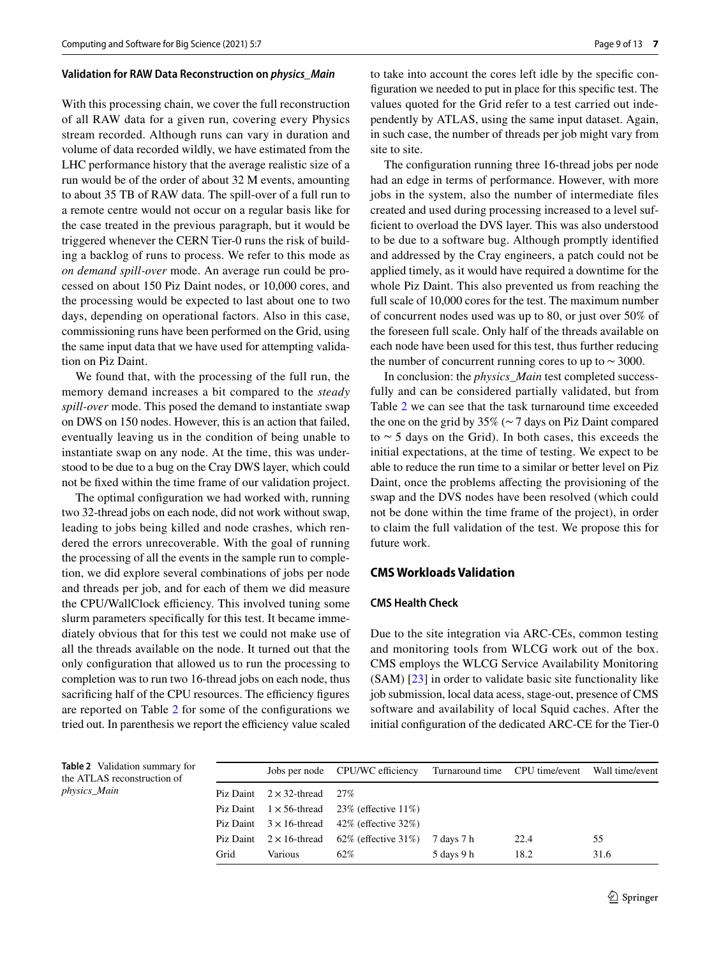#### **Validation for RAW Data Reconstruction on** *physics\_Main*

With this processing chain, we cover the full reconstruction of all RAW data for a given run, covering every Physics stream recorded. Although runs can vary in duration and volume of data recorded wildly, we have estimated from the LHC performance history that the average realistic size of a run would be of the order of about 32 M events, amounting to about 35 TB of RAW data. The spill-over of a full run to a remote centre would not occur on a regular basis like for the case treated in the previous paragraph, but it would be triggered whenever the CERN Tier-0 runs the risk of building a backlog of runs to process. We refer to this mode as *on demand spill-over* mode. An average run could be processed on about 150 Piz Daint nodes, or 10,000 cores, and the processing would be expected to last about one to two days, depending on operational factors. Also in this case, commissioning runs have been performed on the Grid, using the same input data that we have used for attempting validation on Piz Daint.

We found that, with the processing of the full run, the memory demand increases a bit compared to the *steady spill-over* mode. This posed the demand to instantiate swap on DWS on 150 nodes. However, this is an action that failed, eventually leaving us in the condition of being unable to instantiate swap on any node. At the time, this was understood to be due to a bug on the Cray DWS layer, which could not be fxed within the time frame of our validation project.

The optimal confguration we had worked with, running two 32-thread jobs on each node, did not work without swap, leading to jobs being killed and node crashes, which rendered the errors unrecoverable. With the goal of running the processing of all the events in the sample run to completion, we did explore several combinations of jobs per node and threads per job, and for each of them we did measure the CPU/WallClock efficiency. This involved tuning some slurm parameters specifcally for this test. It became immediately obvious that for this test we could not make use of all the threads available on the node. It turned out that the only confguration that allowed us to run the processing to completion was to run two 16-thread jobs on each node, thus sacrificing half of the CPU resources. The efficiency figures are reported on Table [2](#page-8-0) for some of the confgurations we tried out. In parenthesis we report the efficiency value scaled to take into account the cores left idle by the specifc confguration we needed to put in place for this specifc test. The values quoted for the Grid refer to a test carried out independently by ATLAS, using the same input dataset. Again, in such case, the number of threads per job might vary from site to site.

The confguration running three 16-thread jobs per node had an edge in terms of performance. However, with more jobs in the system, also the number of intermediate fles created and used during processing increased to a level suffcient to overload the DVS layer. This was also understood to be due to a software bug. Although promptly identifed and addressed by the Cray engineers, a patch could not be applied timely, as it would have required a downtime for the whole Piz Daint. This also prevented us from reaching the full scale of 10,000 cores for the test. The maximum number of concurrent nodes used was up to 80, or just over 50% of the foreseen full scale. Only half of the threads available on each node have been used for this test, thus further reducing the number of concurrent running cores to up to ∼ 3000.

In conclusion: the *physics\_Main* test completed successfully and can be considered partially validated, but from Table [2](#page-8-0) we can see that the task turnaround time exceeded the one on the grid by 35% (∼ 7 days on Piz Daint compared to ∼ 5 days on the Grid). In both cases, this exceeds the initial expectations, at the time of testing. We expect to be able to reduce the run time to a similar or better level on Piz Daint, once the problems afecting the provisioning of the swap and the DVS nodes have been resolved (which could not be done within the time frame of the project), in order to claim the full validation of the test. We propose this for future work.

# **CMS Workloads Validation**

#### **CMS Health Check**

Due to the site integration via ARC-CEs, common testing and monitoring tools from WLCG work out of the box. CMS employs the WLCG Service Availability Monitoring (SAM) [\[23](#page-11-20)] in order to validate basic site functionality like job submission, local data acess, stage-out, presence of CMS software and availability of local Squid caches. After the initial confguration of the dedicated ARC-CE for the Tier-0

<span id="page-8-0"></span>**Table 2** Validation summary for the ATLAS reconstruction of *physics\_Main*

|      |                                     | Jobs per node CPU/WC efficiency                        | Turnaround time CPU time/event Wall time/event |      |      |
|------|-------------------------------------|--------------------------------------------------------|------------------------------------------------|------|------|
|      | Piz Daint $2 \times 32$ -thread 27% |                                                        |                                                |      |      |
|      |                                     | Piz Daint $1 \times 56$ -thread 23% (effective 11%)    |                                                |      |      |
|      |                                     | Piz Daint $3 \times 16$ -thread $42\%$ (effective 32%) |                                                |      |      |
|      |                                     | Piz Daint $2 \times 16$ -thread 62% (effective 31%)    | 7 days 7 h                                     | 22.4 | 55   |
| Grid | Various                             | 62%                                                    | 5 days 9 h                                     | 18.2 | 31.6 |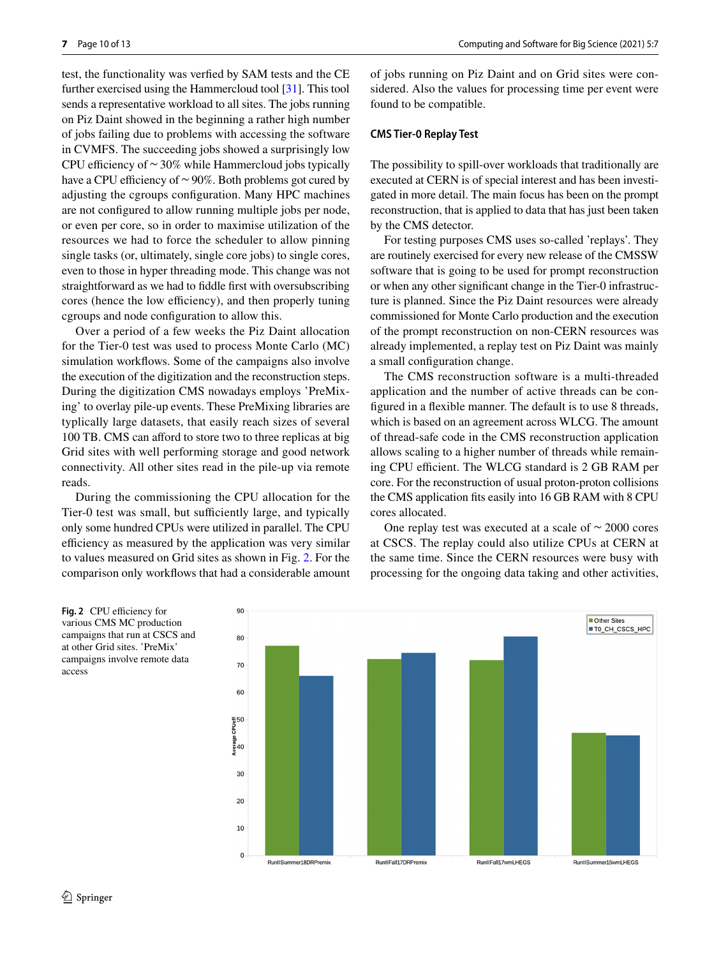test, the functionality was verfed by SAM tests and the CE further exercised using the Hammercloud tool [\[31](#page-12-4)]. This tool sends a representative workload to all sites. The jobs running on Piz Daint showed in the beginning a rather high number of jobs failing due to problems with accessing the software in CVMFS. The succeeding jobs showed a surprisingly low CPU efficiency of  $\sim$  30% while Hammercloud jobs typically have a CPU efficiency of  $\sim$  90%. Both problems got cured by adjusting the cgroups confguration. Many HPC machines are not confgured to allow running multiple jobs per node, or even per core, so in order to maximise utilization of the resources we had to force the scheduler to allow pinning single tasks (or, ultimately, single core jobs) to single cores, even to those in hyper threading mode. This change was not straightforward as we had to fddle frst with oversubscribing cores (hence the low efficiency), and then properly tuning cgroups and node confguration to allow this.

Over a period of a few weeks the Piz Daint allocation for the Tier-0 test was used to process Monte Carlo (MC) simulation workflows. Some of the campaigns also involve the execution of the digitization and the reconstruction steps. During the digitization CMS nowadays employs 'PreMixing' to overlay pile-up events. These PreMixing libraries are typlically large datasets, that easily reach sizes of several 100 TB. CMS can afford to store two to three replicas at big Grid sites with well performing storage and good network connectivity. All other sites read in the pile-up via remote reads.

During the commissioning the CPU allocation for the Tier-0 test was small, but sufficiently large, and typically only some hundred CPUs were utilized in parallel. The CPU efficiency as measured by the application was very similar to values measured on Grid sites as shown in Fig. [2.](#page-9-0) For the comparison only workfows that had a considerable amount of jobs running on Piz Daint and on Grid sites were considered. Also the values for processing time per event were found to be compatible.

#### **CMS Tier‑0 Replay Test**

The possibility to spill-over workloads that traditionally are executed at CERN is of special interest and has been investigated in more detail. The main focus has been on the prompt reconstruction, that is applied to data that has just been taken by the CMS detector.

For testing purposes CMS uses so-called 'replays'. They are routinely exercised for every new release of the CMSSW software that is going to be used for prompt reconstruction or when any other signifcant change in the Tier-0 infrastructure is planned. Since the Piz Daint resources were already commissioned for Monte Carlo production and the execution of the prompt reconstruction on non-CERN resources was already implemented, a replay test on Piz Daint was mainly a small confguration change.

The CMS reconstruction software is a multi-threaded application and the number of active threads can be confgured in a fexible manner. The default is to use 8 threads, which is based on an agreement across WLCG. The amount of thread-safe code in the CMS reconstruction application allows scaling to a higher number of threads while remaining CPU efficient. The WLCG standard is 2 GB RAM per core. For the reconstruction of usual proton-proton collisions the CMS application fts easily into 16 GB RAM with 8 CPU cores allocated.

One replay test was executed at a scale of ∼ 2000 cores at CSCS. The replay could also utilize CPUs at CERN at the same time. Since the CERN resources were busy with processing for the ongoing data taking and other activities,

<span id="page-9-0"></span>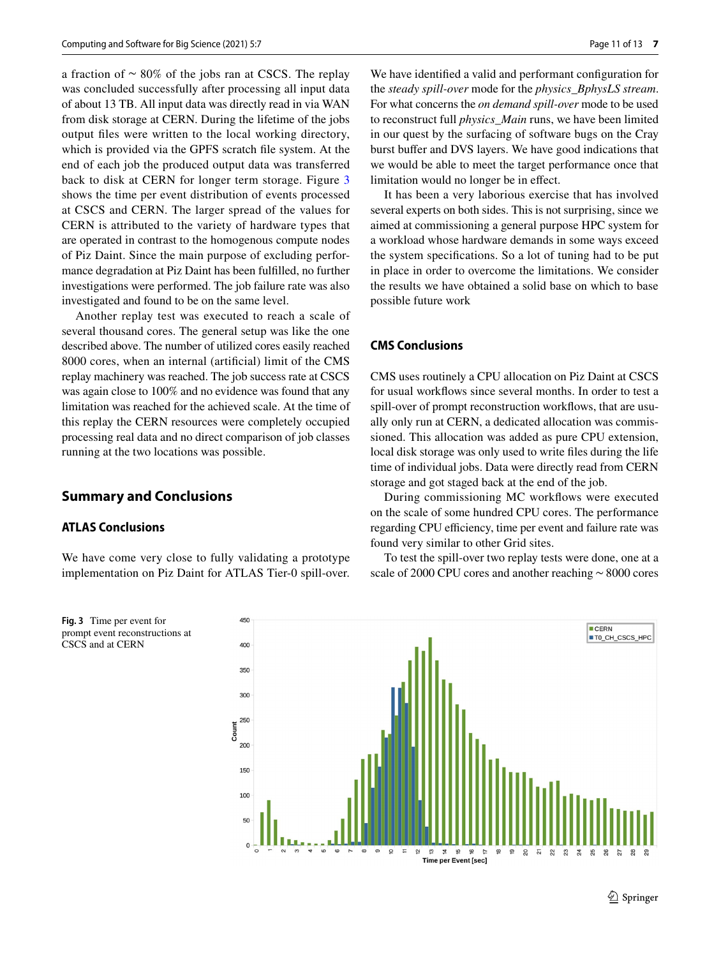a fraction of ∼ 80% of the jobs ran at CSCS. The replay was concluded successfully after processing all input data of about 13 TB. All input data was directly read in via WAN from disk storage at CERN. During the lifetime of the jobs output fles were written to the local working directory, which is provided via the GPFS scratch fle system. At the end of each job the produced output data was transferred back to disk at CERN for longer term storage. Figure [3](#page-10-0) shows the time per event distribution of events processed at CSCS and CERN. The larger spread of the values for CERN is attributed to the variety of hardware types that are operated in contrast to the homogenous compute nodes of Piz Daint. Since the main purpose of excluding performance degradation at Piz Daint has been fulflled, no further investigations were performed. The job failure rate was also investigated and found to be on the same level.

Another replay test was executed to reach a scale of several thousand cores. The general setup was like the one described above. The number of utilized cores easily reached 8000 cores, when an internal (artifcial) limit of the CMS replay machinery was reached. The job success rate at CSCS was again close to 100% and no evidence was found that any limitation was reached for the achieved scale. At the time of this replay the CERN resources were completely occupied processing real data and no direct comparison of job classes running at the two locations was possible.

# **Summary and Conclusions**

# **ATLAS Conclusions**

We have come very close to fully validating a prototype implementation on Piz Daint for ATLAS Tier-0 spill-over.

<span id="page-10-0"></span>**Fig. 3** Time per event for prompt event reconstructions at CSCS and at CERN

We have identified a valid and performant configuration for the *steady spill-over* mode for the *physics\_BphysLS stream*. For what concerns the *on demand spill-over* mode to be used to reconstruct full *physics\_Main* runs, we have been limited in our quest by the surfacing of software bugs on the Cray burst bufer and DVS layers. We have good indications that we would be able to meet the target performance once that limitation would no longer be in efect.

It has been a very laborious exercise that has involved several experts on both sides. This is not surprising, since we aimed at commissioning a general purpose HPC system for a workload whose hardware demands in some ways exceed the system specifcations. So a lot of tuning had to be put in place in order to overcome the limitations. We consider the results we have obtained a solid base on which to base possible future work

## **CMS Conclusions**

CMS uses routinely a CPU allocation on Piz Daint at CSCS for usual workfows since several months. In order to test a spill-over of prompt reconstruction workflows, that are usually only run at CERN, a dedicated allocation was commissioned. This allocation was added as pure CPU extension, local disk storage was only used to write fles during the life time of individual jobs. Data were directly read from CERN storage and got staged back at the end of the job.

During commissioning MC workflows were executed on the scale of some hundred CPU cores. The performance regarding CPU efficiency, time per event and failure rate was found very similar to other Grid sites.

To test the spill-over two replay tests were done, one at a scale of 2000 CPU cores and another reaching ∼ 8000 cores

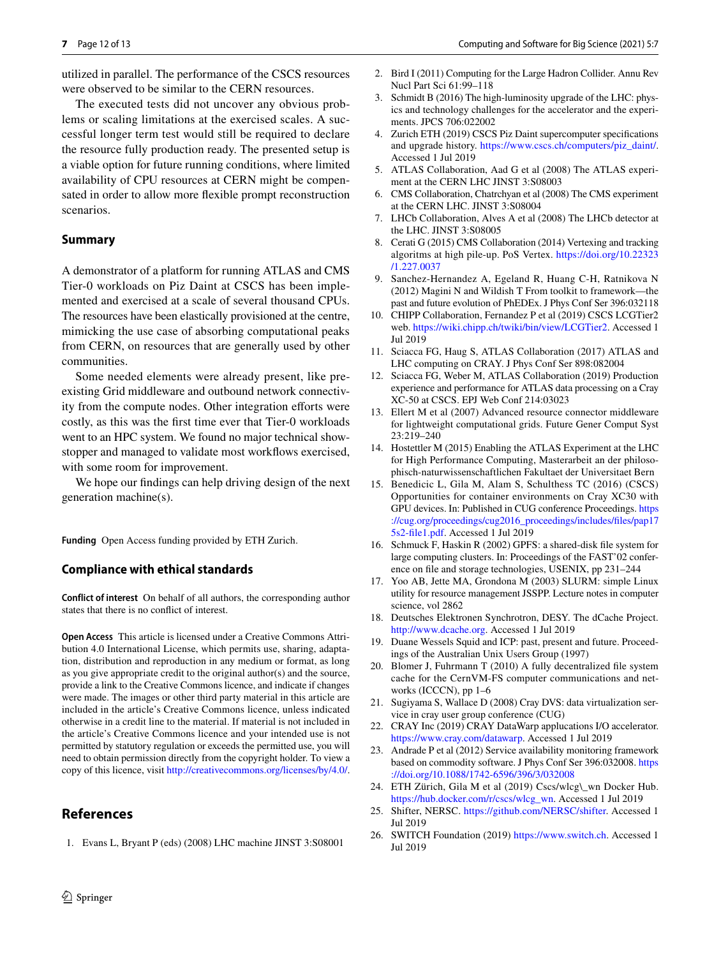utilized in parallel. The performance of the CSCS resources were observed to be similar to the CERN resources.

The executed tests did not uncover any obvious problems or scaling limitations at the exercised scales. A successful longer term test would still be required to declare the resource fully production ready. The presented setup is a viable option for future running conditions, where limited availability of CPU resources at CERN might be compensated in order to allow more fexible prompt reconstruction scenarios.

## **Summary**

A demonstrator of a platform for running ATLAS and CMS Tier-0 workloads on Piz Daint at CSCS has been implemented and exercised at a scale of several thousand CPUs. The resources have been elastically provisioned at the centre, mimicking the use case of absorbing computational peaks from CERN, on resources that are generally used by other communities.

Some needed elements were already present, like preexisting Grid middleware and outbound network connectivity from the compute nodes. Other integration efforts were costly, as this was the frst time ever that Tier-0 workloads went to an HPC system. We found no major technical showstopper and managed to validate most workflows exercised, with some room for improvement.

We hope our fndings can help driving design of the next generation machine(s).

**Funding** Open Access funding provided by ETH Zurich.

#### **Compliance with ethical standards**

**Conflict of interest** On behalf of all authors, the corresponding author states that there is no confict of interest.

**Open Access** This article is licensed under a Creative Commons Attribution 4.0 International License, which permits use, sharing, adaptation, distribution and reproduction in any medium or format, as long as you give appropriate credit to the original author(s) and the source, provide a link to the Creative Commons licence, and indicate if changes were made. The images or other third party material in this article are included in the article's Creative Commons licence, unless indicated otherwise in a credit line to the material. If material is not included in the article's Creative Commons licence and your intended use is not permitted by statutory regulation or exceeds the permitted use, you will need to obtain permission directly from the copyright holder. To view a copy of this licence, visit <http://creativecommons.org/licenses/by/4.0/>.

# **References**

<span id="page-11-0"></span>1. Evans L, Bryant P (eds) (2008) LHC machine JINST 3:S08001

- <span id="page-11-1"></span>2. Bird I (2011) Computing for the Large Hadron Collider. Annu Rev Nucl Part Sci 61:99–118
- <span id="page-11-2"></span>3. Schmidt B (2016) The high-luminosity upgrade of the LHC: physics and technology challenges for the accelerator and the experiments. JPCS 706:022002
- <span id="page-11-3"></span>4. Zurich ETH (2019) CSCS Piz Daint supercomputer specifcations and upgrade history. [https://www.cscs.ch/computers/piz\\_daint/](https://www.cscs.ch/computers/piz_daint/). Accessed 1 Jul 2019
- <span id="page-11-4"></span>5. ATLAS Collaboration, Aad G et al (2008) The ATLAS experiment at the CERN LHC JINST 3:S08003
- <span id="page-11-5"></span>6. CMS Collaboration, Chatrchyan et al (2008) The CMS experiment at the CERN LHC. JINST 3:S08004
- <span id="page-11-6"></span>7. LHCb Collaboration, Alves A et al (2008) The LHCb detector at the LHC. JINST 3:S08005
- <span id="page-11-7"></span>8. Cerati G (2015) CMS Collaboration (2014) Vertexing and tracking algoritms at high pile-up. PoS Vertex. [https://doi.org/10.22323](https://doi.org/10.22323/1.227.0037) [/1.227.0037](https://doi.org/10.22323/1.227.0037)
- <span id="page-11-23"></span>9. Sanchez-Hernandez A, Egeland R, Huang C-H, Ratnikova N (2012) Magini N and Wildish T From toolkit to framework—the past and future evolution of PhEDEx. J Phys Conf Ser 396:032118
- <span id="page-11-8"></span>10. CHIPP Collaboration, Fernandez P et al (2019) CSCS LCGTier2 web. [https://wiki.chipp.ch/twiki/bin/view/LCGTier2.](https://wiki.chipp.ch/twiki/bin/view/LCGTier2) Accessed 1 Jul 2019
- <span id="page-11-9"></span>11. Sciacca FG, Haug S, ATLAS Collaboration (2017) ATLAS and LHC computing on CRAY. J Phys Conf Ser 898:082004
- <span id="page-11-10"></span>12. Sciacca FG, Weber M, ATLAS Collaboration (2019) Production experience and performance for ATLAS data processing on a Cray XC-50 at CSCS. EPJ Web Conf 214:03023
- <span id="page-11-11"></span>13. Ellert M et al (2007) Advanced resource connector middleware for lightweight computational grids. Future Gener Comput Syst 23:219–240
- <span id="page-11-12"></span>14. Hostettler M (2015) Enabling the ATLAS Experiment at the LHC for High Performance Computing, Masterarbeit an der philosophisch-naturwissenschaftlichen Fakultaet der Universitaet Bern
- <span id="page-11-13"></span>15. Benedicic L, Gila M, Alam S, Schulthess TC (2016) (CSCS) Opportunities for container environments on Cray XC30 with GPU devices. In: Published in CUG conference Proceedings. [https](https://cug.org/proceedings/cug2016_proceedings/includes/files/pap175s2-file1.pdf) [://cug.org/proceedings/cug2016\\_proceedings/includes/fles/pap17](https://cug.org/proceedings/cug2016_proceedings/includes/files/pap175s2-file1.pdf) [5s2-fle1.pdf.](https://cug.org/proceedings/cug2016_proceedings/includes/files/pap175s2-file1.pdf) Accessed 1 Jul 2019
- <span id="page-11-14"></span>16. Schmuck F, Haskin R (2002) GPFS: a shared-disk fle system for large computing clusters. In: Proceedings of the FAST'02 conference on fle and storage technologies, USENIX, pp 231–244
- 17. Yoo AB, Jette MA, Grondona M (2003) SLURM: simple Linux utility for resource management JSSPP. Lecture notes in computer science, vol 2862
- <span id="page-11-15"></span>18. Deutsches Elektronen Synchrotron, DESY. The dCache Project. <http://www.dcache.org>. Accessed 1 Jul 2019
- <span id="page-11-16"></span>19. Duane Wessels Squid and ICP: past, present and future. Proceedings of the Australian Unix Users Group (1997)
- <span id="page-11-17"></span>20. Blomer J, Fuhrmann T (2010) A fully decentralized fle system cache for the CernVM-FS computer communications and networks (ICCCN), pp 1–6
- <span id="page-11-18"></span>21. Sugiyama S, Wallace D (2008) Cray DVS: data virtualization service in cray user group conference (CUG)
- <span id="page-11-19"></span>22. CRAY Inc (2019) CRAY DataWarp applucations I/O accelerator. [https://www.cray.com/datawarp.](https://www.cray.com/datawarp) Accessed 1 Jul 2019
- <span id="page-11-20"></span>23. Andrade P et al (2012) Service availability monitoring framework based on commodity software. J Phys Conf Ser 396:032008. [https](https://doi.org/10.1088/1742-6596/396/3/032008) [://doi.org/10.1088/1742-6596/396/3/032008](https://doi.org/10.1088/1742-6596/396/3/032008)
- <span id="page-11-21"></span>24. ETH Zürich, Gila M et al (2019) Cscs/wlcg\\_wn Docker Hub. [https://hub.docker.com/r/cscs/wlcg\\_wn](https://hub.docker.com/r/cscs/wlcg_wn). Accessed 1 Jul 2019
- <span id="page-11-22"></span>25. Shifter, NERSC. [https://github.com/NERSC/shifter.](https://github.com/NERSC/shifter) Accessed 1 Jul 2019
- <span id="page-11-24"></span>26. SWITCH Foundation (2019)<https://www.switch.ch>. Accessed 1 Jul 2019